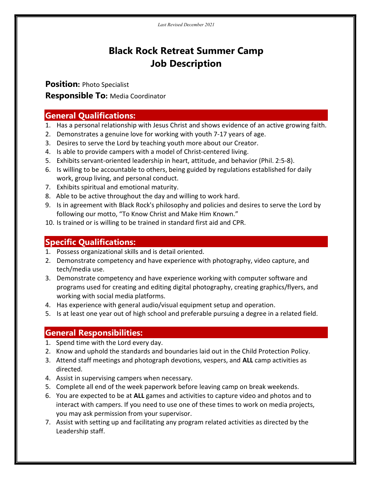# Black Rock Retreat Summer Camp Job Description

Position: Photo Specialist **Responsible To: Media Coordinator** 

## General Qualifications:

- 1. Has a personal relationship with Jesus Christ and shows evidence of an active growing faith.
- 2. Demonstrates a genuine love for working with youth 7-17 years of age.
- 3. Desires to serve the Lord by teaching youth more about our Creator.
- 4. Is able to provide campers with a model of Christ-centered living.
- 5. Exhibits servant-oriented leadership in heart, attitude, and behavior (Phil. 2:5-8).
- 6. Is willing to be accountable to others, being guided by regulations established for daily work, group living, and personal conduct.
- 7. Exhibits spiritual and emotional maturity.
- 8. Able to be active throughout the day and willing to work hard.
- 9. Is in agreement with Black Rock's philosophy and policies and desires to serve the Lord by following our motto, "To Know Christ and Make Him Known."
- 10. Is trained or is willing to be trained in standard first aid and CPR.

### Specific Qualifications:

- 1. Possess organizational skills and is detail oriented.
- 2. Demonstrate competency and have experience with photography, video capture, and tech/media use.
- 3. Demonstrate competency and have experience working with computer software and programs used for creating and editing digital photography, creating graphics/flyers, and working with social media platforms.
- 4. Has experience with general audio/visual equipment setup and operation.
- 5. Is at least one year out of high school and preferable pursuing a degree in a related field.

### General Responsibilities:

- 1. Spend time with the Lord every day.
- 2. Know and uphold the standards and boundaries laid out in the Child Protection Policy.
- 3. Attend staff meetings and photograph devotions, vespers, and ALL camp activities as directed.
- 4. Assist in supervising campers when necessary.
- 5. Complete all end of the week paperwork before leaving camp on break weekends.
- 6. You are expected to be at ALL games and activities to capture video and photos and to interact with campers. If you need to use one of these times to work on media projects, you may ask permission from your supervisor.
- 7. Assist with setting up and facilitating any program related activities as directed by the Leadership staff.